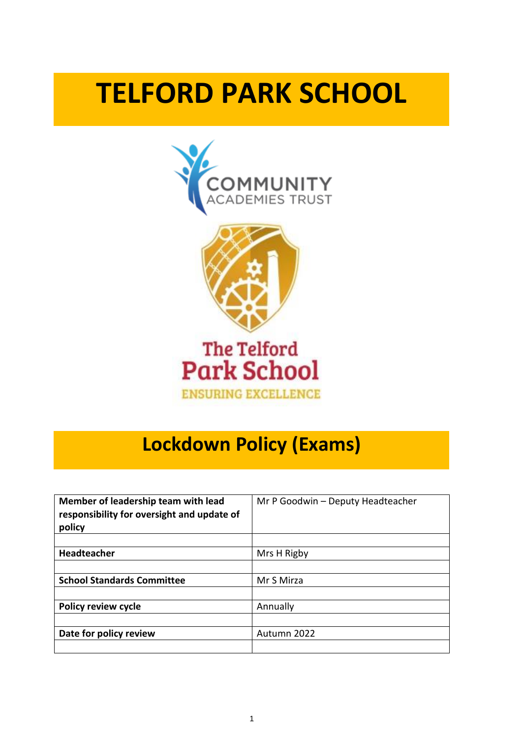# **TELFORD PARK SCHOOL**





### The Telford **Park School ENSURING EXCELLENCE**

## **Lockdown Policy (Exams)**

| Member of leadership team with lead<br>responsibility for oversight and update of<br>policy | Mr P Goodwin - Deputy Headteacher |
|---------------------------------------------------------------------------------------------|-----------------------------------|
|                                                                                             |                                   |
| <b>Headteacher</b>                                                                          | Mrs H Rigby                       |
|                                                                                             |                                   |
| <b>School Standards Committee</b>                                                           | Mr S Mirza                        |
|                                                                                             |                                   |
| <b>Policy review cycle</b>                                                                  | Annually                          |
|                                                                                             |                                   |
| Date for policy review                                                                      | Autumn 2022                       |
|                                                                                             |                                   |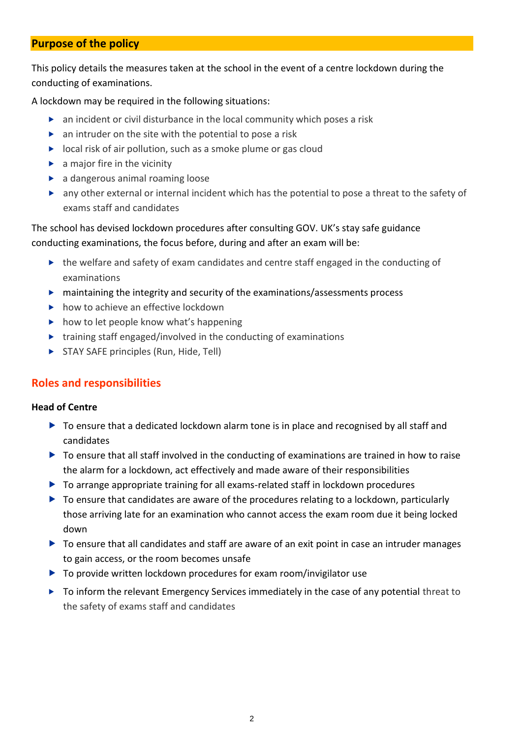#### **Purpose of the policy**

This policy details the measures taken at the school in the event of a centre lockdown during the conducting of examinations.

A lockdown may be required in the following situations:

- $\triangleright$  an incident or civil disturbance in the local community which poses a risk
- $\triangleright$  an intruder on the site with the potential to pose a risk
- $\triangleright$  local risk of air pollution, such as a smoke plume or gas cloud
- $\blacktriangleright$  a major fire in the vicinity
- a dangerous animal roaming loose
- any other external or internal incident which has the potential to pose a threat to the safety of exams staff and candidates

The school has devised lockdown procedures after consulting GOV. UK's stay safe guidance conducting examinations, the focus before, during and after an exam will be:

- ▶ the welfare and safety of exam candidates and centre staff engaged in the conducting of examinations
- maintaining the integrity and security of the examinations/assessments process
- $\blacktriangleright$  how to achieve an effective lockdown
- $\triangleright$  how to let people know what's happening
- $\triangleright$  training staff engaged/involved in the conducting of examinations
- STAY SAFE principles (Run, Hide, Tell)

#### **Roles and responsibilities**

#### **Head of Centre**

- ▶ To ensure that a dedicated lockdown alarm tone is in place and recognised by all staff and candidates
- ▶ To ensure that all staff involved in the conducting of examinations are trained in how to raise the alarm for a lockdown, act effectively and made aware of their responsibilities
- To arrange appropriate training for all exams-related staff in lockdown procedures
- $\triangleright$  To ensure that candidates are aware of the procedures relating to a lockdown, particularly those arriving late for an examination who cannot access the exam room due it being locked down
- To ensure that all candidates and staff are aware of an exit point in case an intruder manages to gain access, or the room becomes unsafe
- ▶ To provide written lockdown procedures for exam room/invigilator use
- ▶ To inform the relevant Emergency Services immediately in the case of any potential threat to the safety of exams staff and candidates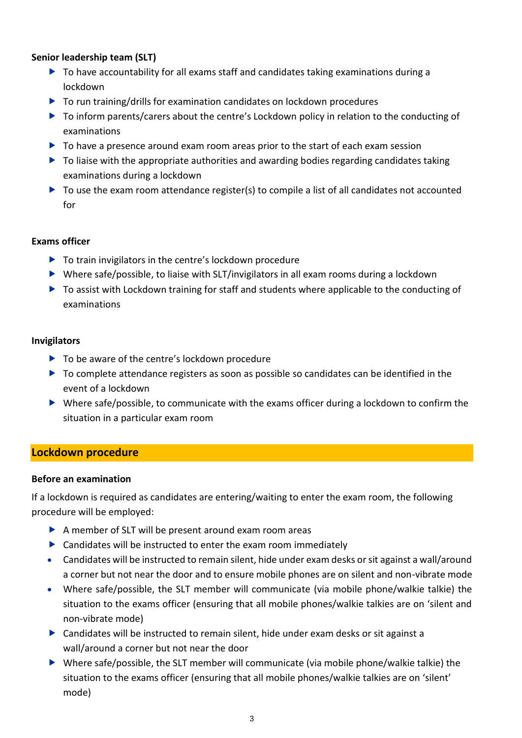#### **Senior leadership team (SLT)**

- ▶ To have accountability for all exams staff and candidates taking examinations during a lockdown
- $\triangleright$  To run training/drills for examination candidates on lockdown procedures
- ▶ To inform parents/carers about the centre's Lockdown policy in relation to the conducting of examinations
- $\triangleright$  To have a presence around exam room areas prior to the start of each exam session
- ▶ To liaise with the appropriate authorities and awarding bodies regarding candidates taking examinations during a lockdown
- ▶ To use the exam room attendance register(s) to compile a list of all candidates not accounted for

#### **Exams officer**

- ▶ To train invigilators in the centre's lockdown procedure
- Where safe/possible, to liaise with SLT/invigilators in all exam rooms during a lockdown
- ▶ To assist with Lockdown training for staff and students where applicable to the conducting of examinations

#### **Invigilators**

- ▶ To be aware of the centre's lockdown procedure
- ▶ To complete attendance registers as soon as possible so candidates can be identified in the event of a lockdown
- Where safe/possible, to communicate with the exams officer during a lockdown to confirm the situation in a particular exam room

#### **Lockdown procedure**

#### **Before an examination**

If a lockdown is required as candidates are entering/waiting to enter the exam room, the following procedure will be employed:

- A member of SLT will be present around exam room areas
- $\triangleright$  Candidates will be instructed to enter the exam room immediately
- Candidates will be instructed to remain silent, hide under exam desks or sit against a wall/around a corner but not near the door and to ensure mobile phones are on silent and non-vibrate mode
- Where safe/possible, the SLT member will communicate (via mobile phone/walkie talkie) the situation to the exams officer (ensuring that all mobile phones/walkie talkies are on 'silent and non-vibrate mode)
- Candidates will be instructed to remain silent, hide under exam desks or sit against a wall/around a corner but not near the door
- Where safe/possible, the SLT member will communicate (via mobile phone/walkie talkie) the situation to the exams officer (ensuring that all mobile phones/walkie talkies are on 'silent' mode)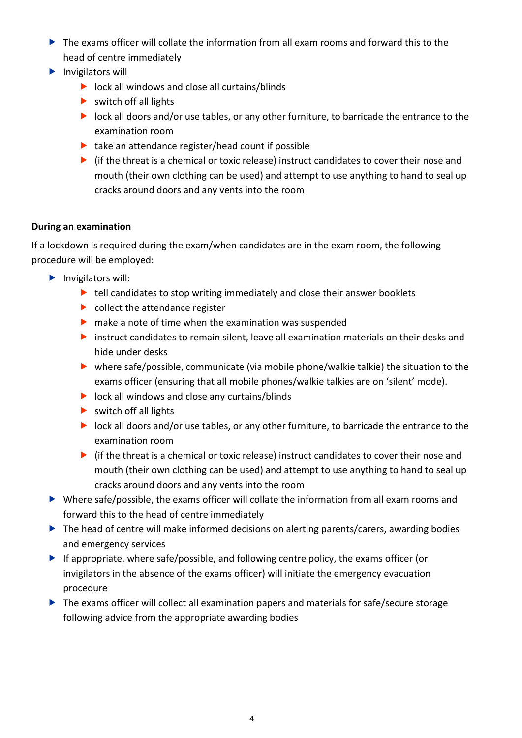- $\triangleright$  The exams officer will collate the information from all exam rooms and forward this to the head of centre immediately
- $\blacktriangleright$  Invigilators will
	- lock all windows and close all curtains/blinds
	- $\triangleright$  switch off all lights
	- **IDOM** lock all doors and/or use tables, or any other furniture, to barricade the entrance to the examination room
	- $\blacktriangleright$  take an attendance register/head count if possible
	- $\triangleright$  (if the threat is a chemical or toxic release) instruct candidates to cover their nose and mouth (their own clothing can be used) and attempt to use anything to hand to seal up cracks around doors and any vents into the room

#### **During an examination**

If a lockdown is required during the exam/when candidates are in the exam room, the following procedure will be employed:

- $\blacktriangleright$  Invigilators will:
	- $\blacktriangleright$  tell candidates to stop writing immediately and close their answer booklets
	- $\triangleright$  collect the attendance register
	- $\triangleright$  make a note of time when the examination was suspended
	- instruct candidates to remain silent, leave all examination materials on their desks and hide under desks
	- where safe/possible, communicate (via mobile phone/walkie talkie) the situation to the exams officer (ensuring that all mobile phones/walkie talkies are on 'silent' mode).
	- $\triangleright$  lock all windows and close any curtains/blinds
	- $\triangleright$  switch off all lights
	- **IDOO** lock all doors and/or use tables, or any other furniture, to barricade the entrance to the examination room
	- $\blacktriangleright$  (if the threat is a chemical or toxic release) instruct candidates to cover their nose and mouth (their own clothing can be used) and attempt to use anything to hand to seal up cracks around doors and any vents into the room
- Where safe/possible, the exams officer will collate the information from all exam rooms and forward this to the head of centre immediately
- ▶ The head of centre will make informed decisions on alerting parents/carers, awarding bodies and emergency services
- If appropriate, where safe/possible, and following centre policy, the exams officer (or invigilators in the absence of the exams officer) will initiate the emergency evacuation procedure
- ▶ The exams officer will collect all examination papers and materials for safe/secure storage following advice from the appropriate awarding bodies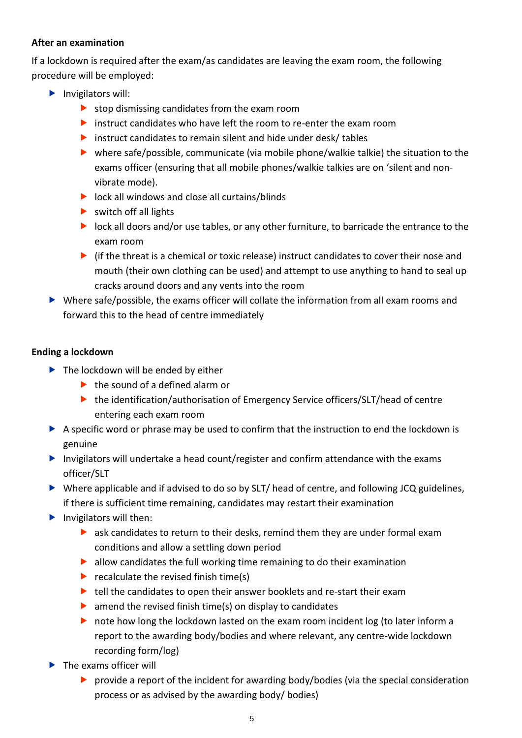#### **After an examination**

If a lockdown is required after the exam/as candidates are leaving the exam room, the following procedure will be employed:

- $\blacktriangleright$  Invigilators will:
	- $\triangleright$  stop dismissing candidates from the exam room
	- $\triangleright$  instruct candidates who have left the room to re-enter the exam room
	- instruct candidates to remain silent and hide under desk/ tables
	- where safe/possible, communicate (via mobile phone/walkie talkie) the situation to the exams officer (ensuring that all mobile phones/walkie talkies are on 'silent and nonvibrate mode).
	- $\blacktriangleright$  lock all windows and close all curtains/blinds
	- $\triangleright$  switch off all lights
	- lock all doors and/or use tables, or any other furniture, to barricade the entrance to the exam room
	- $\triangleright$  (if the threat is a chemical or toxic release) instruct candidates to cover their nose and mouth (their own clothing can be used) and attempt to use anything to hand to seal up cracks around doors and any vents into the room
- Where safe/possible, the exams officer will collate the information from all exam rooms and forward this to the head of centre immediately

#### **Ending a lockdown**

- $\blacktriangleright$  The lockdown will be ended by either
	- $\blacktriangleright$  the sound of a defined alarm or
	- ▶ the identification/authorisation of Emergency Service officers/SLT/head of centre entering each exam room
- A specific word or phrase may be used to confirm that the instruction to end the lockdown is genuine
- Invigilators will undertake a head count/register and confirm attendance with the exams officer/SLT
- Where applicable and if advised to do so by SLT/ head of centre, and following JCQ guidelines, if there is sufficient time remaining, candidates may restart their examination
- $\blacktriangleright$  Invigilators will then:
	- ask candidates to return to their desks, remind them they are under formal exam conditions and allow a settling down period
	- $\blacktriangleright$  allow candidates the full working time remaining to do their examination
	- recalculate the revised finish time(s)
	- $\blacktriangleright$  tell the candidates to open their answer booklets and re-start their exam
	- $\blacktriangleright$  amend the revised finish time(s) on display to candidates
	- **D** note how long the lockdown lasted on the exam room incident log (to later inform a report to the awarding body/bodies and where relevant, any centre-wide lockdown recording form/log)
- ▶ The exams officer will
	- provide a report of the incident for awarding body/bodies (via the special consideration process or as advised by the awarding body/ bodies)